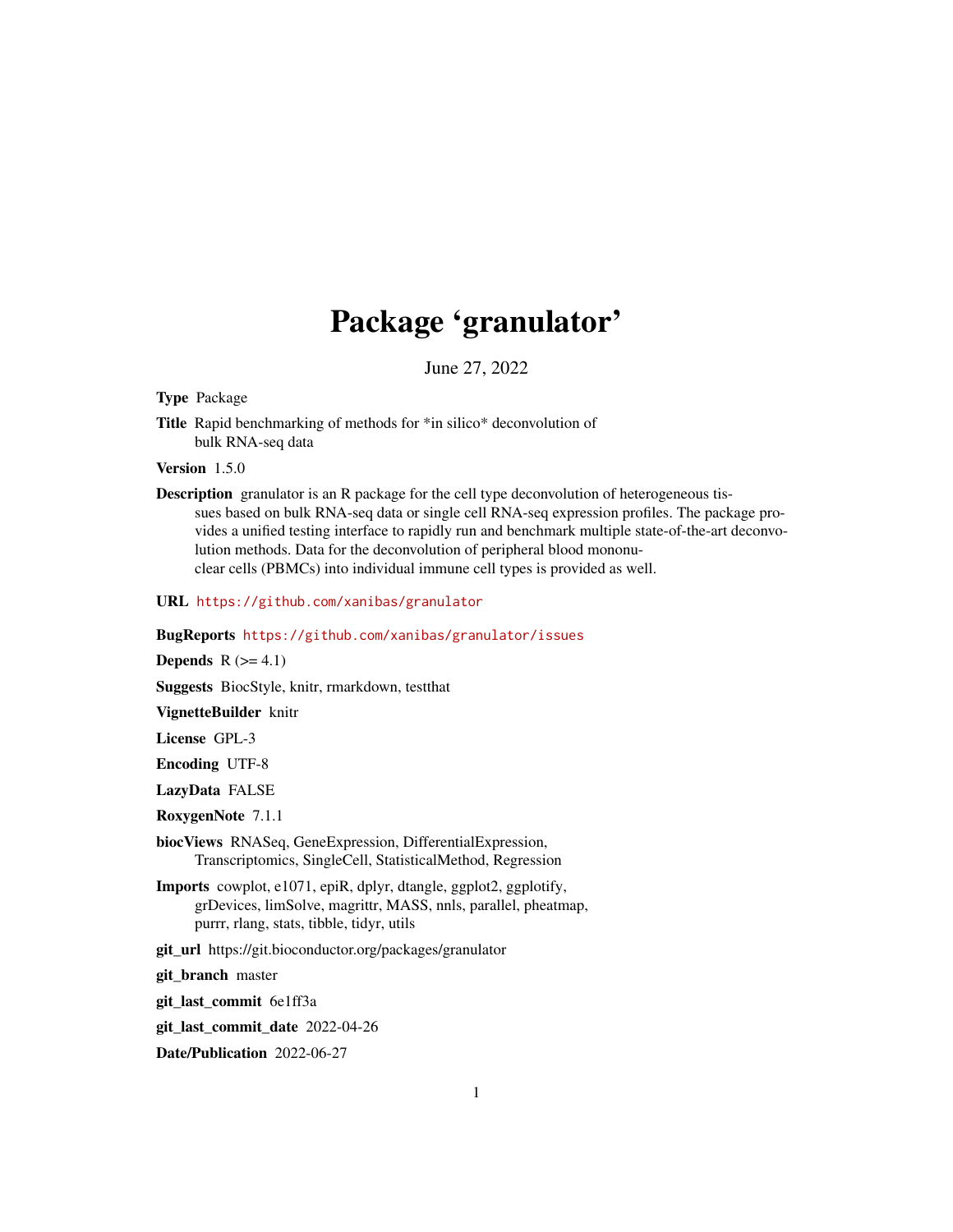# Package 'granulator'

June 27, 2022

<span id="page-0-0"></span>Type Package

Title Rapid benchmarking of methods for \*in silico\* deconvolution of bulk RNA-seq data

Version 1.5.0

Description granulator is an R package for the cell type deconvolution of heterogeneous tissues based on bulk RNA-seq data or single cell RNA-seq expression profiles. The package provides a unified testing interface to rapidly run and benchmark multiple state-of-the-art deconvolution methods. Data for the deconvolution of peripheral blood mononuclear cells (PBMCs) into individual immune cell types is provided as well.

URL <https://github.com/xanibas/granulator>

BugReports <https://github.com/xanibas/granulator/issues>

Depends  $R$  ( $>= 4.1$ )

Suggests BiocStyle, knitr, rmarkdown, testthat

VignetteBuilder knitr

License GPL-3

Encoding UTF-8

LazyData FALSE

RoxygenNote 7.1.1

biocViews RNASeq, GeneExpression, DifferentialExpression, Transcriptomics, SingleCell, StatisticalMethod, Regression

Imports cowplot, e1071, epiR, dplyr, dtangle, ggplot2, ggplotify, grDevices, limSolve, magrittr, MASS, nnls, parallel, pheatmap, purrr, rlang, stats, tibble, tidyr, utils

git\_url https://git.bioconductor.org/packages/granulator

git\_branch master

git\_last\_commit 6e1ff3a

git\_last\_commit\_date 2022-04-26

Date/Publication 2022-06-27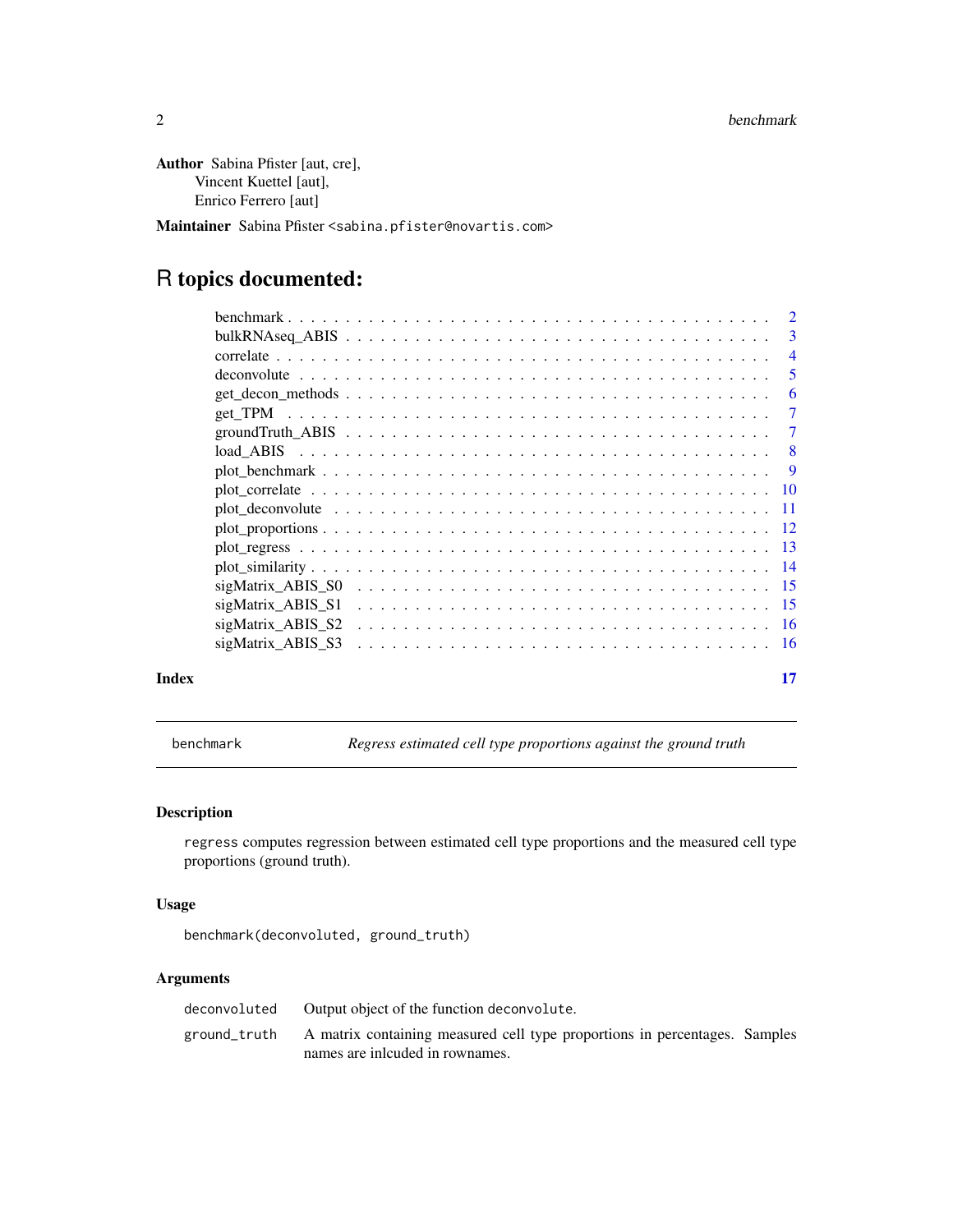<span id="page-1-0"></span>Author Sabina Pfister [aut, cre], Vincent Kuettel [aut], Enrico Ferrero [aut]

Maintainer Sabina Pfister <sabina.pfister@novartis.com>

# R topics documented:

|       |                   | $\mathcal{D}$  |
|-------|-------------------|----------------|
|       |                   | 3              |
|       |                   | $\overline{4}$ |
|       |                   | -5             |
|       |                   | 6              |
|       |                   | 7              |
|       |                   | 7              |
|       |                   | -8             |
|       |                   | -9             |
|       |                   |                |
|       |                   |                |
|       |                   |                |
|       |                   |                |
|       |                   |                |
|       | sigMatrix ABIS S0 |                |
|       | sigMatrix ABIS S1 |                |
|       | sigMatrix ABIS S2 |                |
|       | sigMatrix ABIS S3 |                |
| Index |                   | 17             |

benchmark *Regress estimated cell type proportions against the ground truth*

# Description

regress computes regression between estimated cell type proportions and the measured cell type proportions (ground truth).

# Usage

benchmark(deconvoluted, ground\_truth)

# Arguments

| deconvoluted | Output object of the function deconvolute.                                                                                 |  |
|--------------|----------------------------------------------------------------------------------------------------------------------------|--|
|              | ground_truth A matrix containing measured cell type proportions in percentages. Samples<br>names are included in rownames. |  |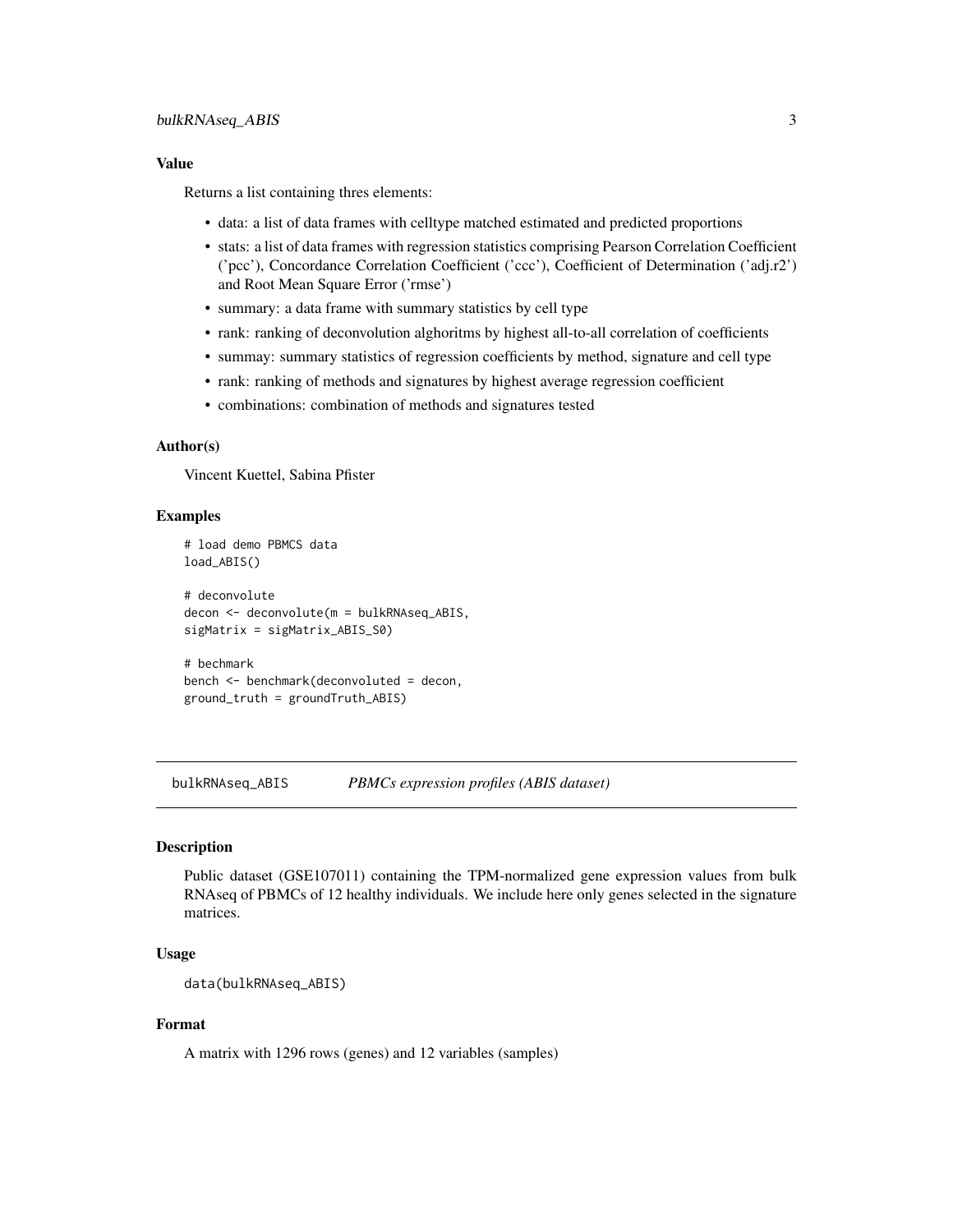# <span id="page-2-0"></span>bulkRNAseq\_ABIS 3

#### Value

Returns a list containing thres elements:

- data: a list of data frames with celltype matched estimated and predicted proportions
- stats: a list of data frames with regression statistics comprising Pearson Correlation Coefficient ('pcc'), Concordance Correlation Coefficient ('ccc'), Coefficient of Determination ('adj.r2') and Root Mean Square Error ('rmse')
- summary: a data frame with summary statistics by cell type
- rank: ranking of deconvolution alghoritms by highest all-to-all correlation of coefficients
- summay: summary statistics of regression coefficients by method, signature and cell type
- rank: ranking of methods and signatures by highest average regression coefficient
- combinations: combination of methods and signatures tested

#### Author(s)

Vincent Kuettel, Sabina Pfister

#### Examples

```
# load demo PBMCS data
load_ABIS()
# deconvolute
decon <- deconvolute(m = bulkRNAseq_ABIS,
sigMatrix = sigMatrix_ABIS_S0)
```
# bechmark bench <- benchmark(deconvoluted = decon, ground\_truth = groundTruth\_ABIS)

bulkRNAseq\_ABIS *PBMCs expression profiles (ABIS dataset)*

# **Description**

Public dataset (GSE107011) containing the TPM-normalized gene expression values from bulk RNAseq of PBMCs of 12 healthy individuals. We include here only genes selected in the signature matrices.

#### Usage

```
data(bulkRNAseq_ABIS)
```
#### Format

A matrix with 1296 rows (genes) and 12 variables (samples)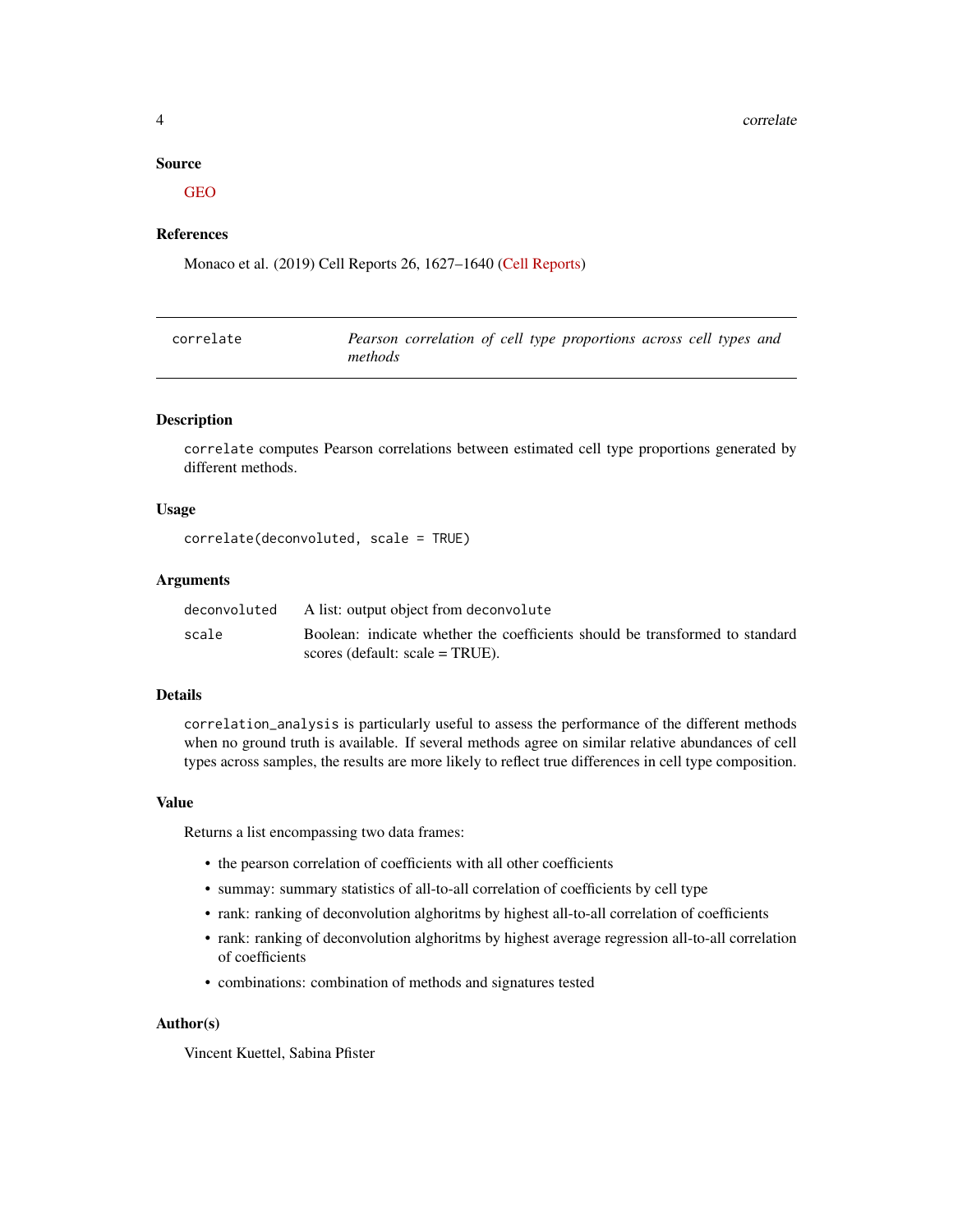<span id="page-3-0"></span>4 correlate that the correlate correlate the correlate correlate that the correlate correlate correlate that  $\sim$ 

#### Source

[GEO](https://www.ncbi.nlm.nih.gov/geo/query/acc.cgi?acc=gse107011)

#### References

Monaco et al. (2019) Cell Reports 26, 1627–1640 [\(Cell Reports\)](https://www.cell.com/cell-reports/pdf/S2211-1247(19)30059-2.pdf)

| correlate | Pearson correlation of cell type proportions across cell types and |
|-----------|--------------------------------------------------------------------|
|           | methods                                                            |

# Description

correlate computes Pearson correlations between estimated cell type proportions generated by different methods.

#### Usage

correlate(deconvoluted, scale = TRUE)

# Arguments

| deconvoluted | A list: output object from deconvolute                                       |
|--------------|------------------------------------------------------------------------------|
| scale        | Boolean: indicate whether the coefficients should be transformed to standard |
|              | scores (default: scale = $TRUE$ ).                                           |

#### Details

correlation\_analysis is particularly useful to assess the performance of the different methods when no ground truth is available. If several methods agree on similar relative abundances of cell types across samples, the results are more likely to reflect true differences in cell type composition.

#### Value

Returns a list encompassing two data frames:

- the pearson correlation of coefficients with all other coefficients
- summay: summary statistics of all-to-all correlation of coefficients by cell type
- rank: ranking of deconvolution alghoritms by highest all-to-all correlation of coefficients
- rank: ranking of deconvolution alghoritms by highest average regression all-to-all correlation of coefficients
- combinations: combination of methods and signatures tested

#### Author(s)

Vincent Kuettel, Sabina Pfister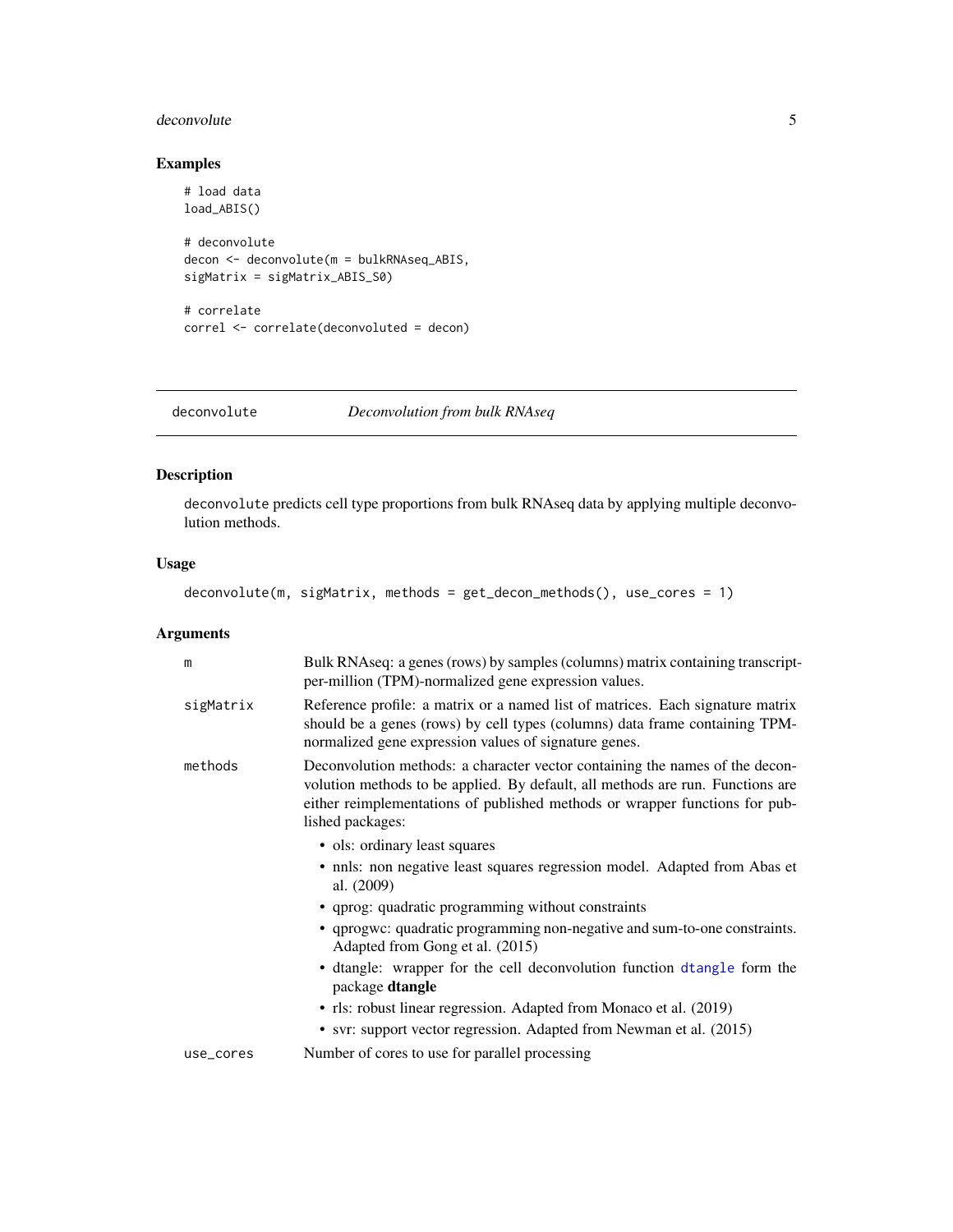#### <span id="page-4-0"></span>deconvolute 5

# Examples

```
# load data
load_ABIS()
# deconvolute
decon <- deconvolute(m = bulkRNAseq_ABIS,
sigMatrix = sigMatrix_ABIS_S0)
# correlate
correl <- correlate(deconvoluted = decon)
```
deconvolute *Deconvolution from bulk RNAseq*

# Description

deconvolute predicts cell type proportions from bulk RNAseq data by applying multiple deconvolution methods.

# Usage

deconvolute(m, sigMatrix, methods = get\_decon\_methods(), use\_cores = 1)

# Arguments

| m         | Bulk RNAseq: a genes (rows) by samples (columns) matrix containing transcript-<br>per-million (TPM)-normalized gene expression values.                                                                                                                            |
|-----------|-------------------------------------------------------------------------------------------------------------------------------------------------------------------------------------------------------------------------------------------------------------------|
| sigMatrix | Reference profile: a matrix or a named list of matrices. Each signature matrix<br>should be a genes (rows) by cell types (columns) data frame containing TPM-<br>normalized gene expression values of signature genes.                                            |
| methods   | Deconvolution methods: a character vector containing the names of the decon-<br>volution methods to be applied. By default, all methods are run. Functions are<br>either reimplementations of published methods or wrapper functions for pub-<br>lished packages: |
|           | • ols: ordinary least squares                                                                                                                                                                                                                                     |
|           | • nnls: non negative least squares regression model. Adapted from Abas et<br>al. (2009)                                                                                                                                                                           |
|           | • qprog: quadratic programming without constraints                                                                                                                                                                                                                |
|           | • qprogwc: quadratic programming non-negative and sum-to-one constraints.<br>Adapted from Gong et al. (2015)                                                                                                                                                      |
|           | • dtangle: wrapper for the cell deconvolution function dtangle form the<br>package dtangle                                                                                                                                                                        |
|           | • rls: robust linear regression. Adapted from Monaco et al. (2019)                                                                                                                                                                                                |
|           | • svr: support vector regression. Adapted from Newman et al. (2015)                                                                                                                                                                                               |
| use_cores | Number of cores to use for parallel processing                                                                                                                                                                                                                    |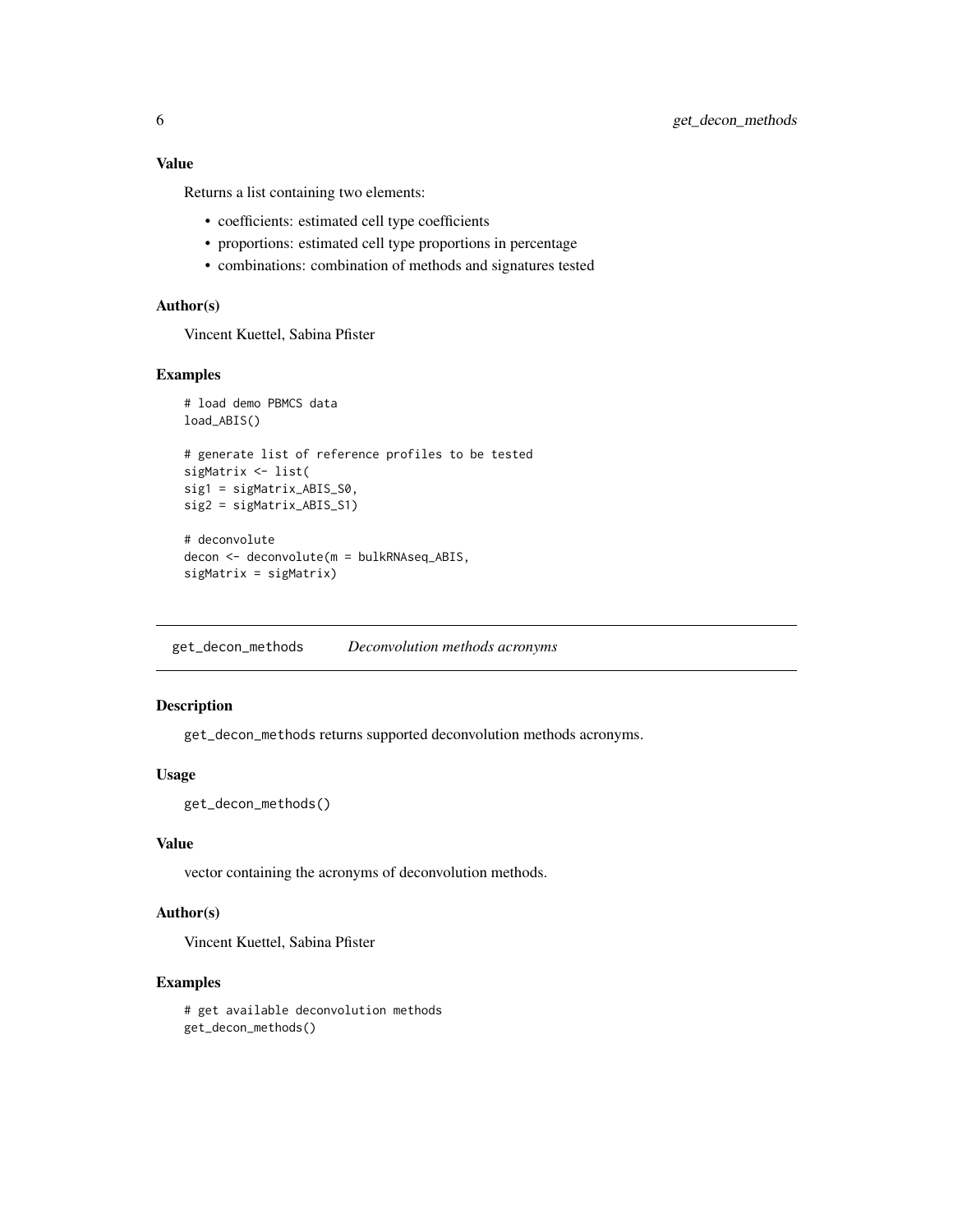<span id="page-5-0"></span>Returns a list containing two elements:

- coefficients: estimated cell type coefficients
- proportions: estimated cell type proportions in percentage
- combinations: combination of methods and signatures tested

# Author(s)

Vincent Kuettel, Sabina Pfister

#### Examples

```
# load demo PBMCS data
load_ABIS()
# generate list of reference profiles to be tested
sigMatrix <- list(
sig1 = sigMatrix_ABIS_S0,
sig2 = sigMatrix_ABIS_S1)
# deconvolute
decon <- deconvolute(m = bulkRNAseq_ABIS,
```

```
sigMatrix = sigMatrix)
```
get\_decon\_methods *Deconvolution methods acronyms*

#### Description

get\_decon\_methods returns supported deconvolution methods acronyms.

#### Usage

get\_decon\_methods()

#### Value

vector containing the acronyms of deconvolution methods.

#### Author(s)

Vincent Kuettel, Sabina Pfister

#### Examples

# get available deconvolution methods get\_decon\_methods()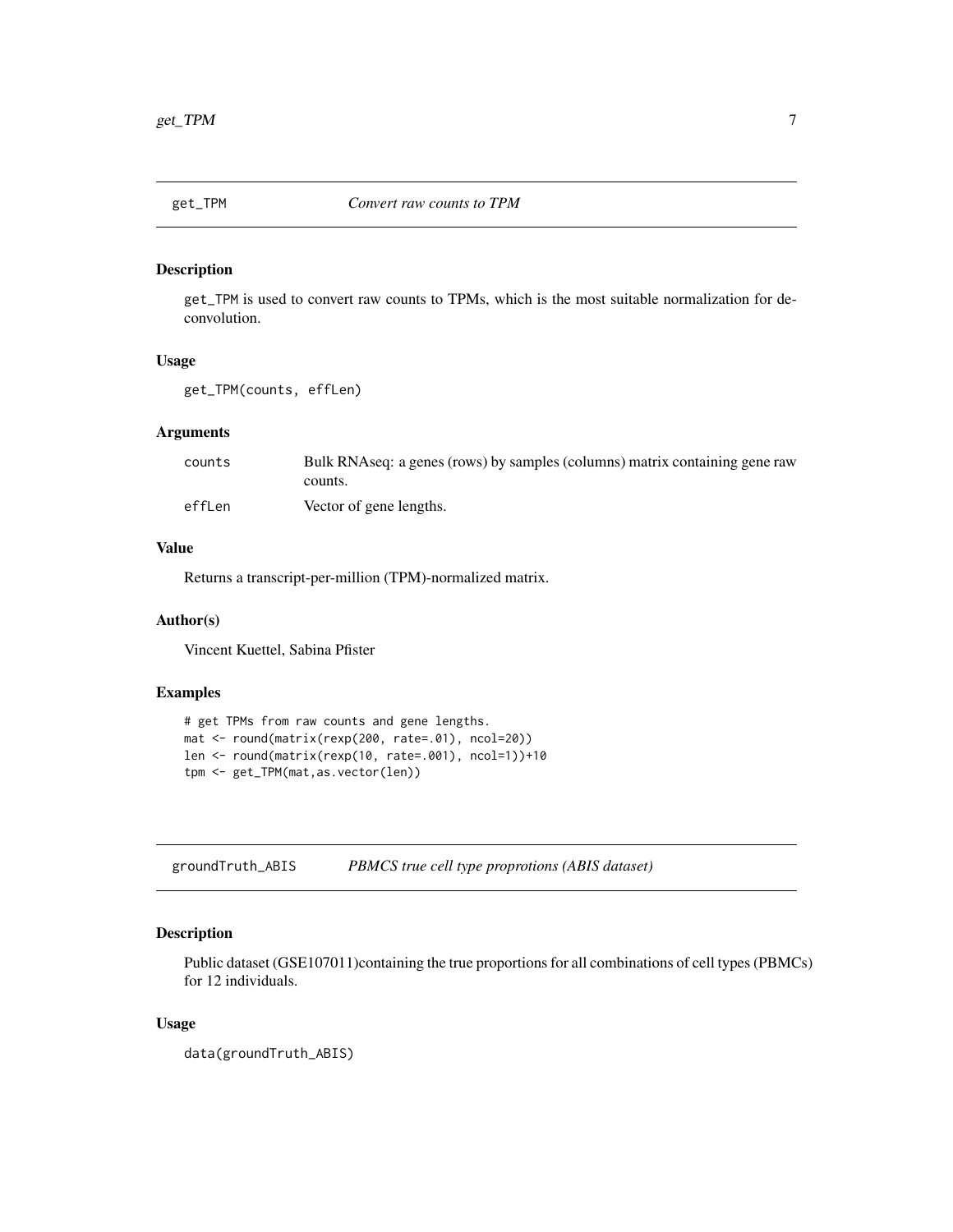<span id="page-6-0"></span>

get\_TPM is used to convert raw counts to TPMs, which is the most suitable normalization for deconvolution.

# Usage

get\_TPM(counts, effLen)

#### Arguments

| counts | Bulk RNAseq: a genes (rows) by samples (columns) matrix containing gene raw |
|--------|-----------------------------------------------------------------------------|
|        | counts.                                                                     |
| effLen | Vector of gene lengths.                                                     |

# Value

Returns a transcript-per-million (TPM)-normalized matrix.

#### Author(s)

Vincent Kuettel, Sabina Pfister

# Examples

```
# get TPMs from raw counts and gene lengths.
mat <- round(matrix(rexp(200, rate=.01), ncol=20))
len <- round(matrix(rexp(10, rate=.001), ncol=1))+10
tpm <- get_TPM(mat,as.vector(len))
```
groundTruth\_ABIS *PBMCS true cell type proprotions (ABIS dataset)*

# Description

Public dataset (GSE107011)containing the true proportions for all combinations of cell types (PBMCs) for 12 individuals.

#### Usage

data(groundTruth\_ABIS)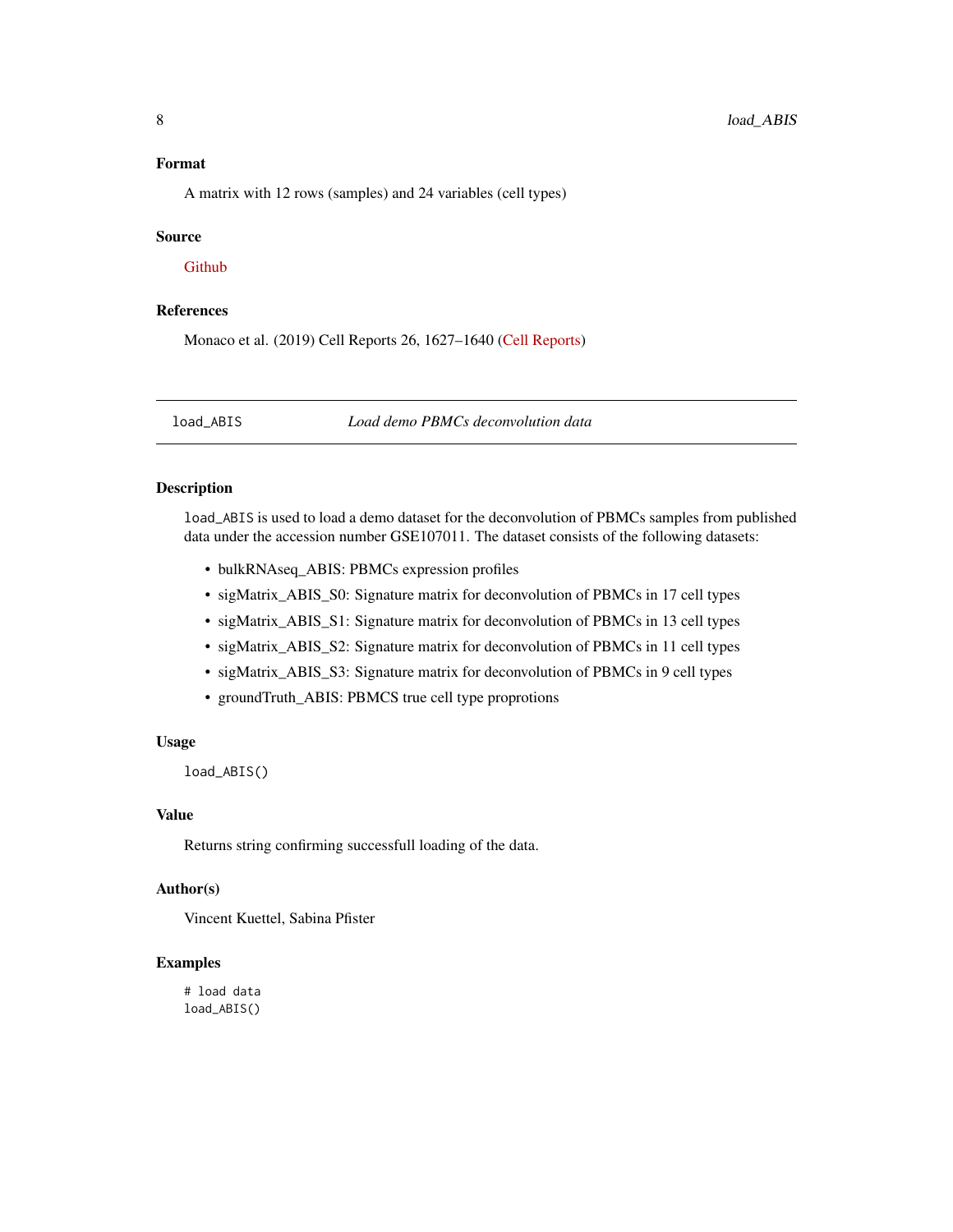# <span id="page-7-0"></span>Format

A matrix with 12 rows (samples) and 24 variables (cell types)

#### Source

[Github](https://github.com/giannimonaco/ABIS/tree/master/data)

# References

Monaco et al. (2019) Cell Reports 26, 1627–1640 [\(Cell Reports\)](https://www.cell.com/cell-reports/pdf/S2211-1247(19)30059-2.pdf)

load\_ABIS *Load demo PBMCs deconvolution data*

# Description

load\_ABIS is used to load a demo dataset for the deconvolution of PBMCs samples from published data under the accession number GSE107011. The dataset consists of the following datasets:

- bulkRNAseq\_ABIS: PBMCs expression profiles
- sigMatrix\_ABIS\_S0: Signature matrix for deconvolution of PBMCs in 17 cell types
- sigMatrix\_ABIS\_S1: Signature matrix for deconvolution of PBMCs in 13 cell types
- sigMatrix\_ABIS\_S2: Signature matrix for deconvolution of PBMCs in 11 cell types
- sigMatrix\_ABIS\_S3: Signature matrix for deconvolution of PBMCs in 9 cell types
- groundTruth\_ABIS: PBMCS true cell type proprotions

#### Usage

load\_ABIS()

# Value

Returns string confirming successfull loading of the data.

# Author(s)

Vincent Kuettel, Sabina Pfister

# Examples

# load data load\_ABIS()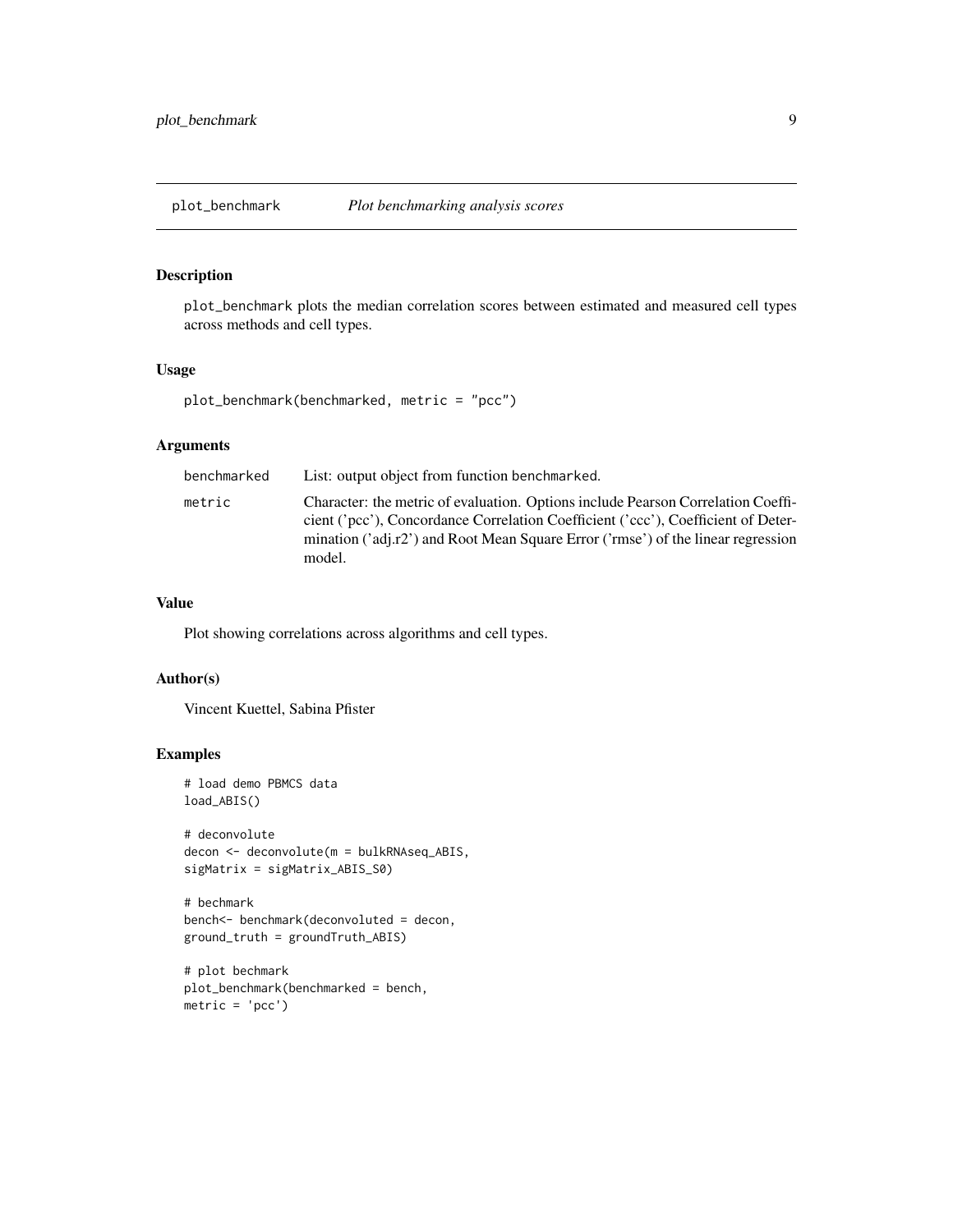<span id="page-8-0"></span>

plot\_benchmark plots the median correlation scores between estimated and measured cell types across methods and cell types.

#### Usage

```
plot_benchmark(benchmarked, metric = "pcc")
```
# Arguments

| benchmarked | List: output object from function benchmarked.                                                                                                                                                                                                                      |
|-------------|---------------------------------------------------------------------------------------------------------------------------------------------------------------------------------------------------------------------------------------------------------------------|
| metric      | Character: the metric of evaluation. Options include Pearson Correlation Coeffi-<br>cient ('pcc'), Concordance Correlation Coefficient ('ccc'), Coefficient of Deter-<br>mination ('adj.r2') and Root Mean Square Error ('rmse') of the linear regression<br>model. |

#### Value

Plot showing correlations across algorithms and cell types.

# Author(s)

Vincent Kuettel, Sabina Pfister

```
# load demo PBMCS data
load_ABIS()
```

```
# deconvolute
decon <- deconvolute(m = bulkRNAseq_ABIS,
sigMatrix = sigMatrix_ABIS_S0)
```

```
# bechmark
bench<- benchmark(deconvoluted = decon,
ground_truth = groundTruth_ABIS)
```

```
# plot bechmark
plot_benchmark(benchmarked = bench,
metric = 'pcc')
```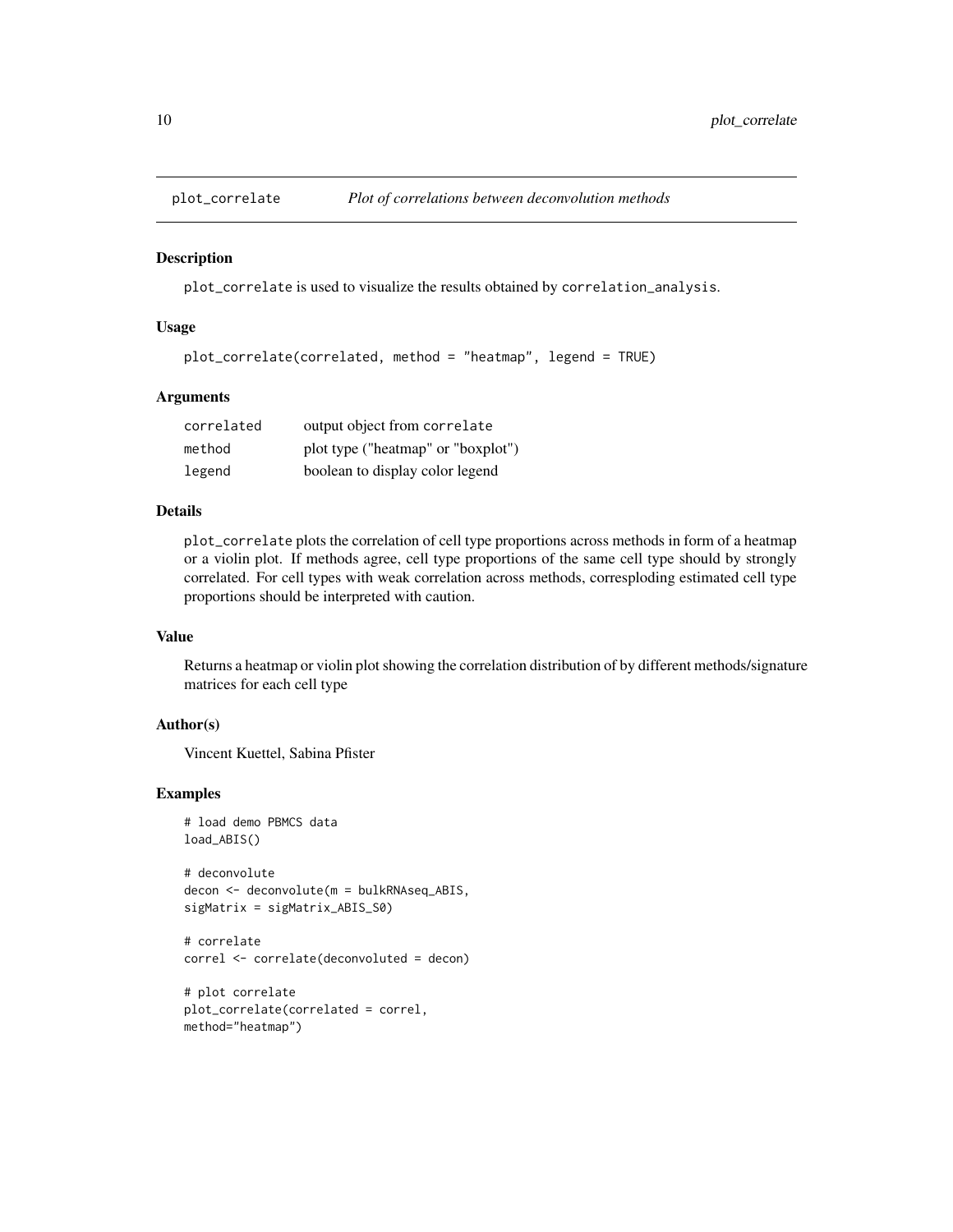<span id="page-9-0"></span>

plot\_correlate is used to visualize the results obtained by correlation\_analysis.

#### Usage

```
plot_correlate(correlated, method = "heatmap", legend = TRUE)
```
#### **Arguments**

| correlated | output object from correlate       |
|------------|------------------------------------|
| method     | plot type ("heatmap" or "boxplot") |
| legend     | boolean to display color legend    |

# Details

plot\_correlate plots the correlation of cell type proportions across methods in form of a heatmap or a violin plot. If methods agree, cell type proportions of the same cell type should by strongly correlated. For cell types with weak correlation across methods, corresploding estimated cell type proportions should be interpreted with caution.

#### Value

Returns a heatmap or violin plot showing the correlation distribution of by different methods/signature matrices for each cell type

# Author(s)

Vincent Kuettel, Sabina Pfister

# Examples

```
# load demo PBMCS data
load_ABIS()
```
# deconvolute decon <- deconvolute(m = bulkRNAseq\_ABIS, sigMatrix = sigMatrix\_ABIS\_S0)

```
# correlate
correl <- correlate(deconvoluted = decon)
```

```
# plot correlate
plot_correlate(correlated = correl,
method="heatmap")
```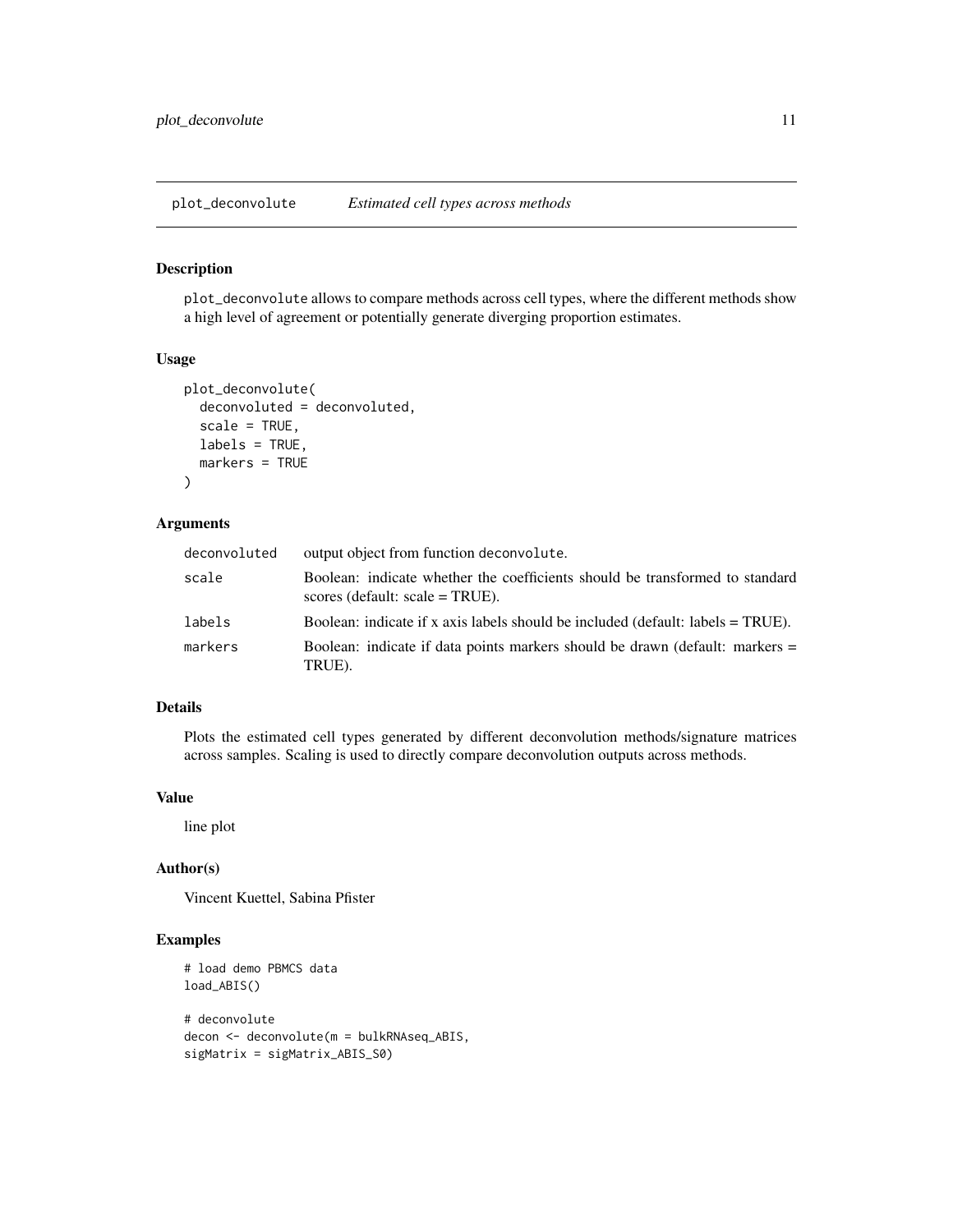<span id="page-10-0"></span>plot\_deconvolute *Estimated cell types across methods*

#### Description

plot\_deconvolute allows to compare methods across cell types, where the different methods show a high level of agreement or potentially generate diverging proportion estimates.

# Usage

```
plot_deconvolute(
  deconvoluted = deconvoluted,
  scale = TRUE,
  labels = TRUE,
 markers = TRUE
)
```
# Arguments

| deconvoluted | output object from function deconvolute.                                                                           |
|--------------|--------------------------------------------------------------------------------------------------------------------|
| scale        | Boolean: indicate whether the coefficients should be transformed to standard<br>scores (default: $scale = TRUE$ ). |
| labels       | Boolean: indicate if x axis labels should be included (default: labels $= TRUE$ ).                                 |
| markers      | Boolean: indicate if data points markers should be drawn (default: markers =<br>TRUE).                             |

# Details

Plots the estimated cell types generated by different deconvolution methods/signature matrices across samples. Scaling is used to directly compare deconvolution outputs across methods.

# Value

line plot

# Author(s)

Vincent Kuettel, Sabina Pfister

```
# load demo PBMCS data
load_ABIS()
# deconvolute
decon <- deconvolute(m = bulkRNAseq_ABIS,
sigMatrix = sigMatrix_ABIS_S0)
```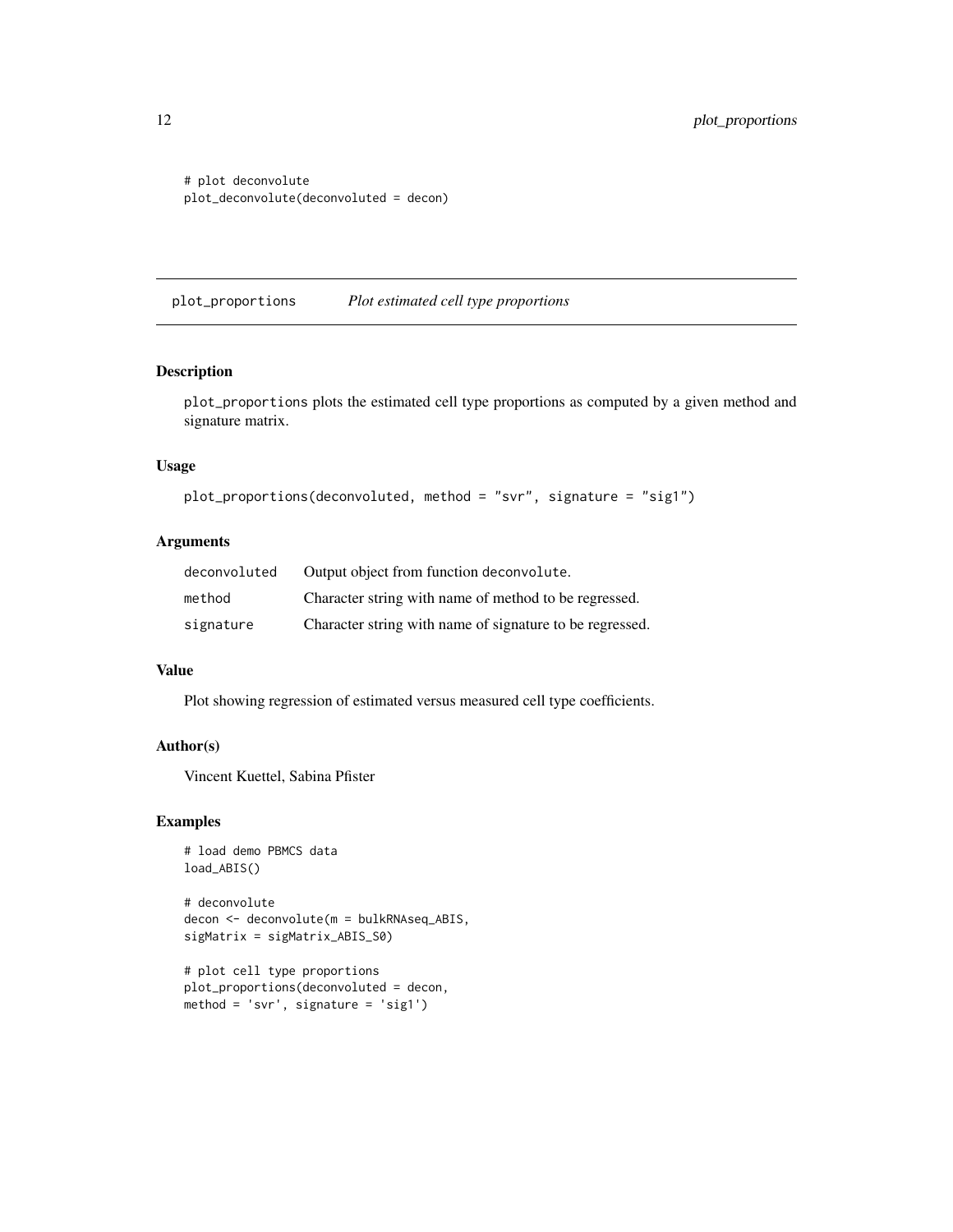<span id="page-11-0"></span># plot deconvolute plot\_deconvolute(deconvoluted = decon)

plot\_proportions *Plot estimated cell type proportions*

### Description

plot\_proportions plots the estimated cell type proportions as computed by a given method and signature matrix.

# Usage

```
plot_proportions(deconvoluted, method = "svr", signature = "sig1")
```
# Arguments

| deconvoluted | Output object from function deconvolute.                 |
|--------------|----------------------------------------------------------|
| method       | Character string with name of method to be regressed.    |
| signature    | Character string with name of signature to be regressed. |

#### Value

Plot showing regression of estimated versus measured cell type coefficients.

#### Author(s)

Vincent Kuettel, Sabina Pfister

# Examples

```
# load demo PBMCS data
load_ABIS()
```
# deconvolute decon <- deconvolute(m = bulkRNAseq\_ABIS, sigMatrix = sigMatrix\_ABIS\_S0)

```
# plot cell type proportions
plot_proportions(deconvoluted = decon,
method = 'svr', signature = 'sig1')
```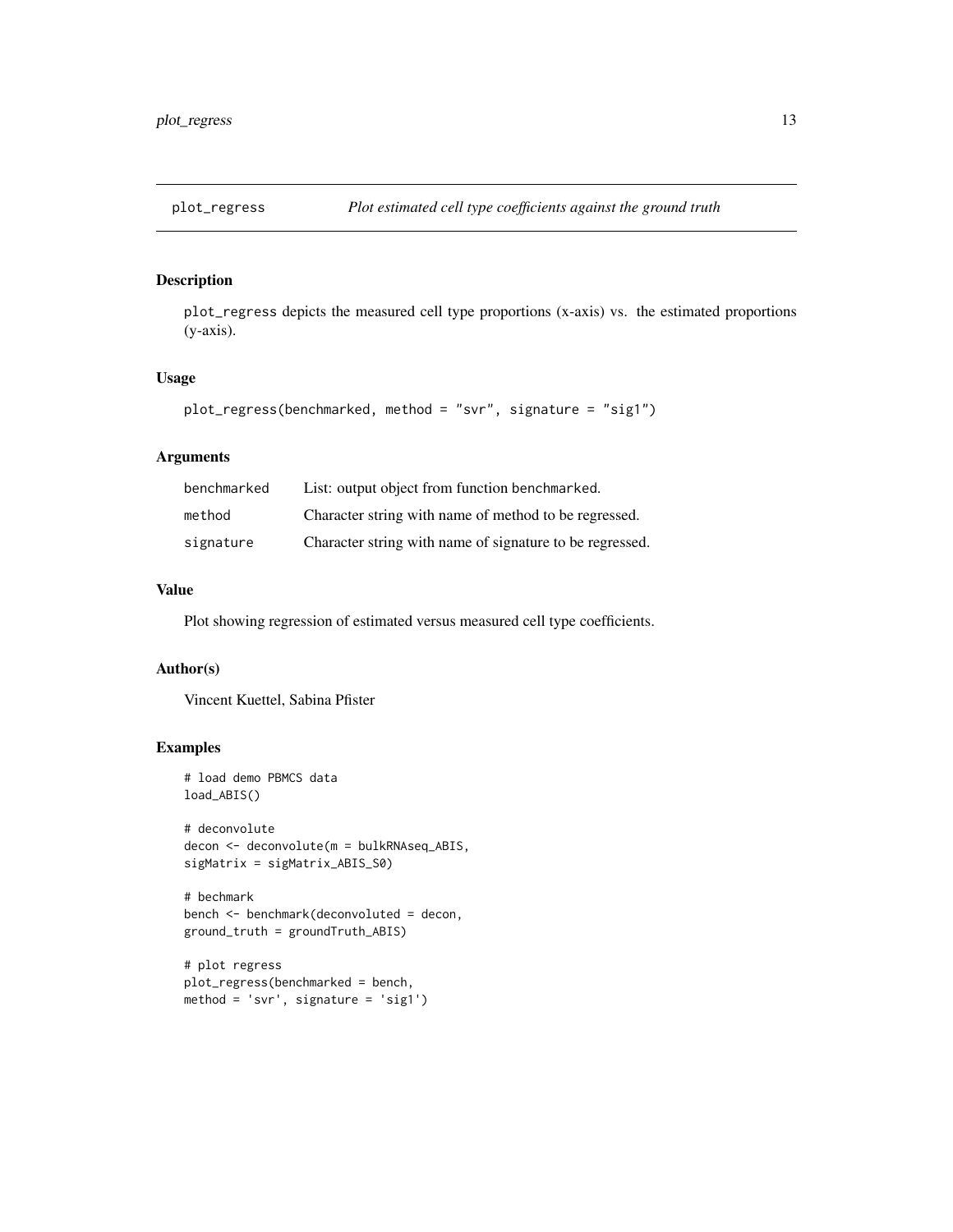<span id="page-12-0"></span>

plot\_regress depicts the measured cell type proportions (x-axis) vs. the estimated proportions (y-axis).

# Usage

```
plot_regress(benchmarked, method = "svr", signature = "sig1")
```
# Arguments

| benchmarked | List: output object from function benchmarked.           |
|-------------|----------------------------------------------------------|
| method      | Character string with name of method to be regressed.    |
| signature   | Character string with name of signature to be regressed. |

# Value

Plot showing regression of estimated versus measured cell type coefficients.

#### Author(s)

Vincent Kuettel, Sabina Pfister

```
# load demo PBMCS data
load_ABIS()
```

```
# deconvolute
decon <- deconvolute(m = bulkRNAseq_ABIS,
sigMatrix = sigMatrix_ABIS_S0)
```

```
# bechmark
bench <- benchmark(deconvoluted = decon,
ground_truth = groundTruth_ABIS)
```

```
# plot regress
plot_regress(benchmarked = bench,
method = 'svr', signature = 'sig1')
```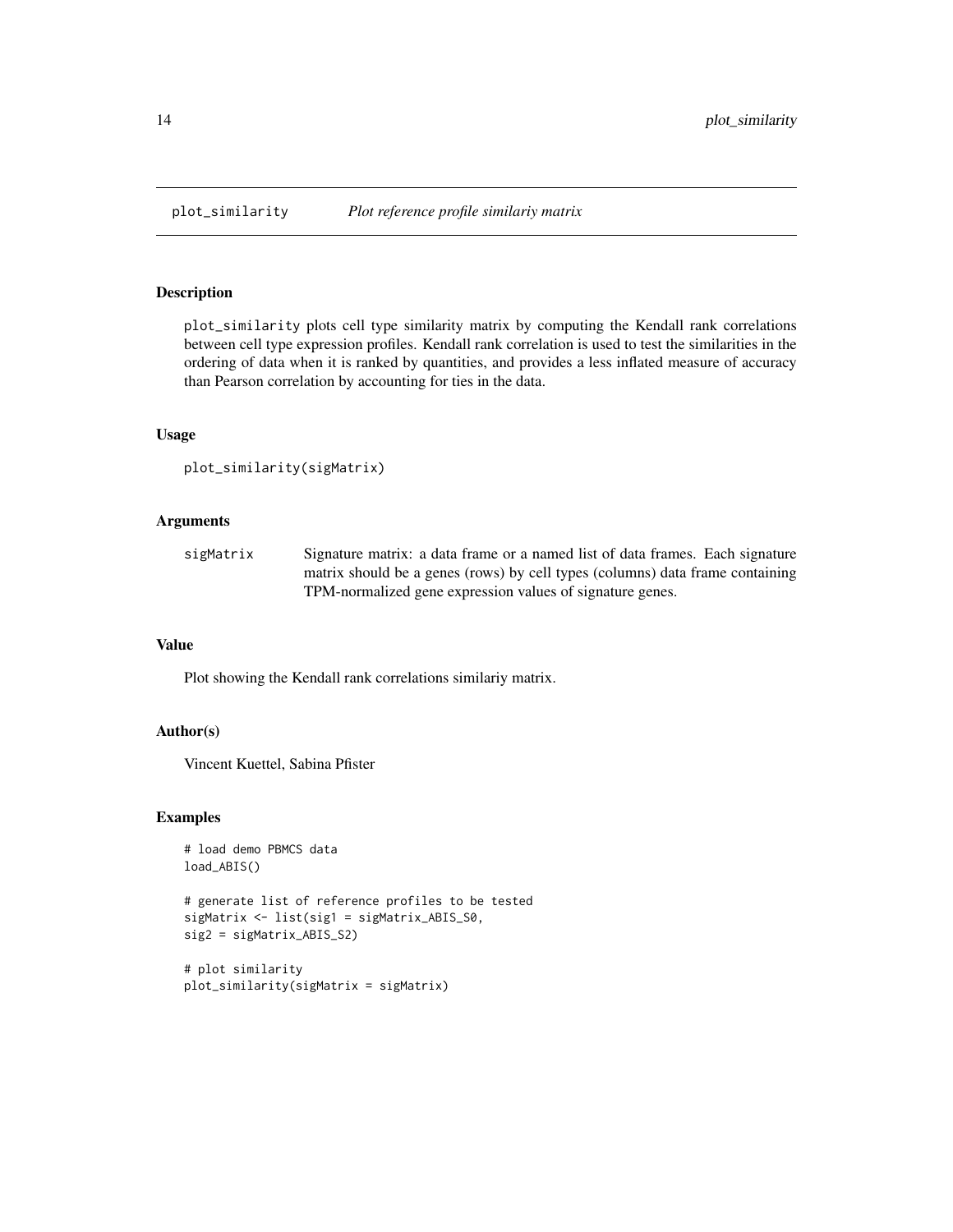<span id="page-13-0"></span>

plot\_similarity plots cell type similarity matrix by computing the Kendall rank correlations between cell type expression profiles. Kendall rank correlation is used to test the similarities in the ordering of data when it is ranked by quantities, and provides a less inflated measure of accuracy than Pearson correlation by accounting for ties in the data.

#### Usage

```
plot_similarity(sigMatrix)
```
# Arguments

| sigMatrix | Signature matrix: a data frame or a named list of data frames. Each signature |
|-----------|-------------------------------------------------------------------------------|
|           | matrix should be a genes (rows) by cell types (columns) data frame containing |
|           | TPM-normalized gene expression values of signature genes.                     |

#### Value

Plot showing the Kendall rank correlations similariy matrix.

#### Author(s)

Vincent Kuettel, Sabina Pfister

```
# load demo PBMCS data
load_ABIS()
# generate list of reference profiles to be tested
sigMatrix <- list(sig1 = sigMatrix_ABIS_S0,
sig2 = sigMatrix_ABIS_S2)
```

```
# plot similarity
plot_similarity(sigMatrix = sigMatrix)
```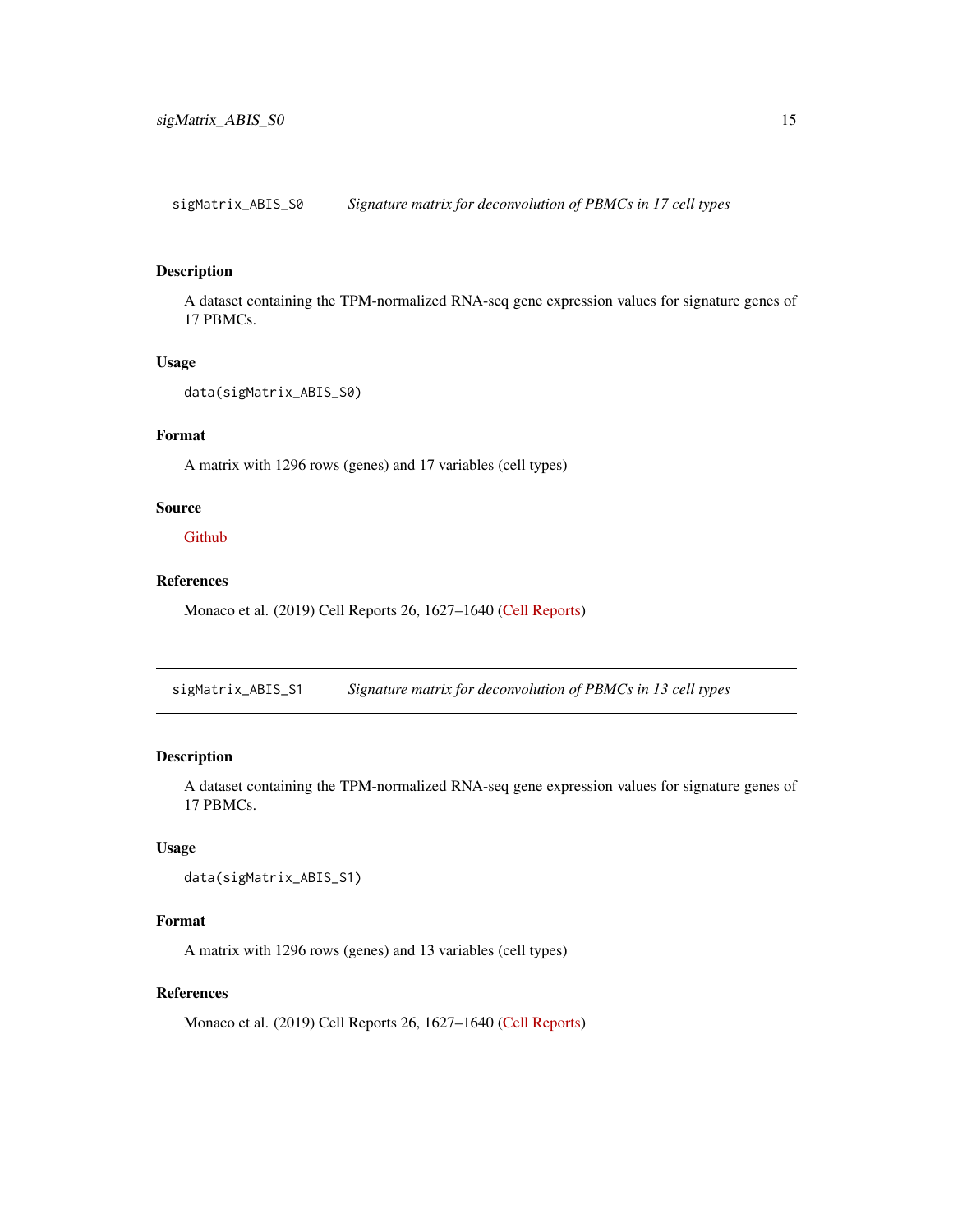<span id="page-14-0"></span>sigMatrix\_ABIS\_S0 *Signature matrix for deconvolution of PBMCs in 17 cell types*

#### Description

A dataset containing the TPM-normalized RNA-seq gene expression values for signature genes of 17 PBMCs.

# Usage

```
data(sigMatrix_ABIS_S0)
```
# Format

A matrix with 1296 rows (genes) and 17 variables (cell types)

#### Source

**[Github](https://github.com/giannimonaco/ABIS/tree/master/data)** 

# References

Monaco et al. (2019) Cell Reports 26, 1627–1640 [\(Cell Reports\)](https://www.cell.com/cell-reports/pdf/S2211-1247(19)30059-2.pdf)

sigMatrix\_ABIS\_S1 *Signature matrix for deconvolution of PBMCs in 13 cell types*

# Description

A dataset containing the TPM-normalized RNA-seq gene expression values for signature genes of 17 PBMCs.

# Usage

```
data(sigMatrix_ABIS_S1)
```
# Format

A matrix with 1296 rows (genes) and 13 variables (cell types)

# References

Monaco et al. (2019) Cell Reports 26, 1627–1640 [\(Cell Reports\)](https://www.cell.com/cell-reports/pdf/S2211-1247(19)30059-2.pdf)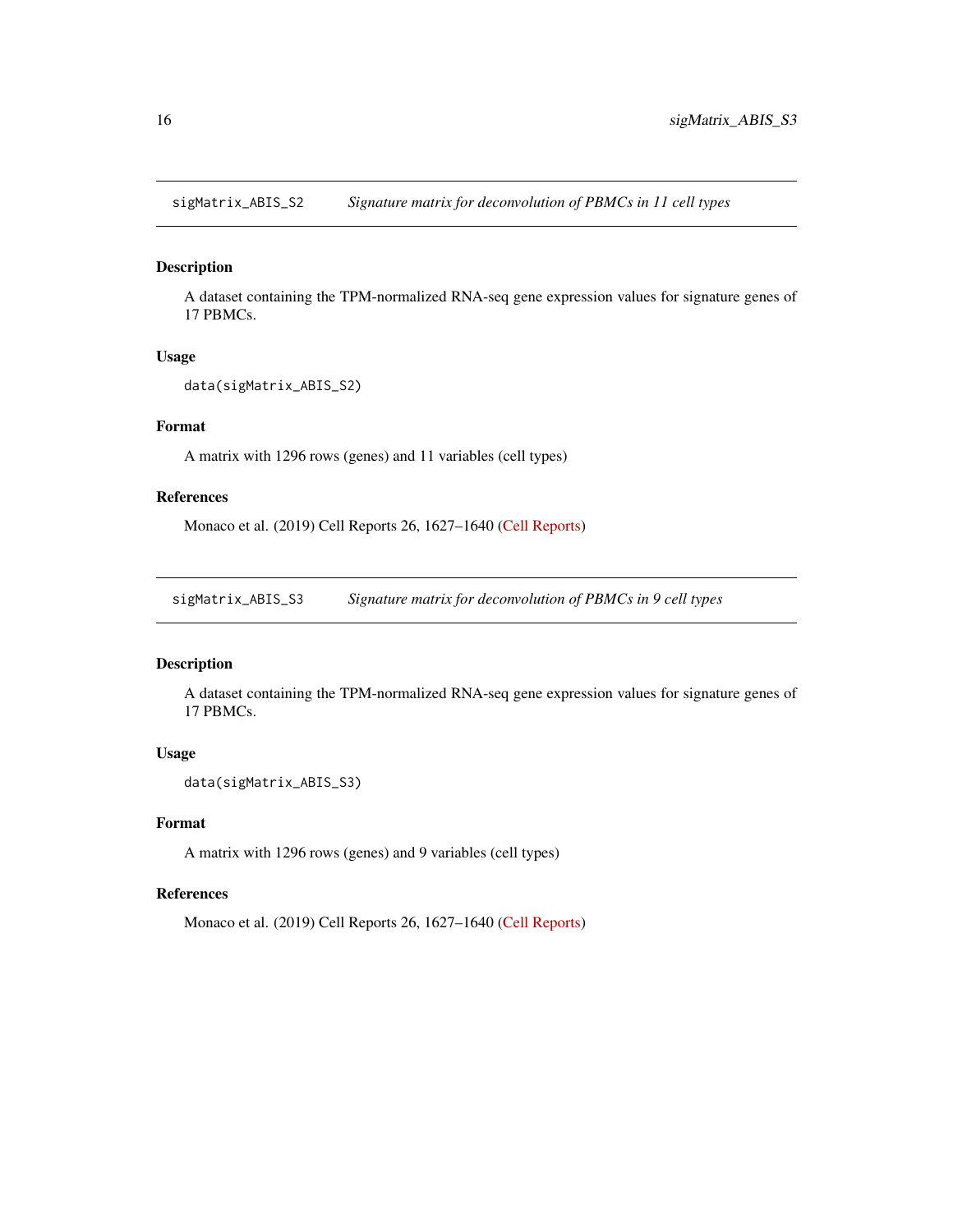<span id="page-15-0"></span>sigMatrix\_ABIS\_S2 *Signature matrix for deconvolution of PBMCs in 11 cell types*

# Description

A dataset containing the TPM-normalized RNA-seq gene expression values for signature genes of 17 PBMCs.

#### Usage

```
data(sigMatrix_ABIS_S2)
```
# Format

A matrix with 1296 rows (genes) and 11 variables (cell types)

# References

Monaco et al. (2019) Cell Reports 26, 1627–1640 [\(Cell Reports\)](https://www.cell.com/cell-reports/pdf/S2211-1247(19)30059-2.pdf)

sigMatrix\_ABIS\_S3 *Signature matrix for deconvolution of PBMCs in 9 cell types*

#### Description

A dataset containing the TPM-normalized RNA-seq gene expression values for signature genes of 17 PBMCs.

# Usage

```
data(sigMatrix_ABIS_S3)
```
#### Format

A matrix with 1296 rows (genes) and 9 variables (cell types)

# References

Monaco et al. (2019) Cell Reports 26, 1627–1640 [\(Cell Reports\)](https://www.cell.com/cell-reports/pdf/S2211-1247(19)30059-2.pdf)